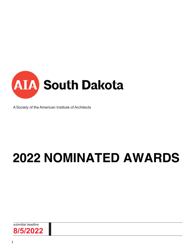

A Society of the American Institute of Architects

# **2022 NOMINATED AWARDS**

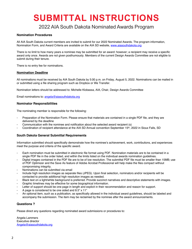# **SUBMITTAL INSTRUCTIONS**

### 2022 AIA South Dakota Nominated Awards Program

#### **Nomination Procedures**

All AIA South Dakota current members are invited to submit for our 2022 Nominated Awards. The program information, Nomination Form, and Award Criteria are available on the AIA SD website, www.aiasouthdakota.org

There is no limit to how many years a nominee may be submitted for an award: however; a recipient may receive a specific award only once. Awards are not given posthumously. Members of the current Design Awards Committee are not eligible to submit during their tenure.

There is no entry fee for nominations.

#### **Nomination Deadline**

All nominations must be received by AIA South Dakota by 5:00 p.m. on Friday, August 5, 2022. Nominations can be mailed in or submitted using a file sharing program such as Dropbox or We Transfer.

Nomination letters should be addressed to: Michelle Klobassa, AIA, Chair, Design Awards Committee

Email nominations to: angela@aiasouthdakota.org

#### **Nominator Responsibilities**

The nominating member is responsible for the following:

- Preparation of the Nomination Form. Please ensure that materials are contained in a single PDF file, and they are delivered by the deadline
- Communication with the nominee and notification about the selected award recipient (s)
- Coordination of recipient attendance at the AIA SD Annual convention September 15th, 2022 in Sioux Falls, SD

#### **South Dakota General Submittal Requirements**

Information submitted should specifically demonstrate how the nominee's achievement, work, contributions, and experiences meet the purpose and criteria of the specific award.

- Each nomination must be submitted in electronic file format using PDF. Nomination materials are to be contained in a single PDF file in the order listed, and within the limits listed on the individual awards nomination guidelines.
- Digital images contained in the PDF file are to be of low resolution. The submittal PDF file must be smaller than 15MB; use of PDF Optimizer and the Save As feature of Adobe Acrobat Professional will help make the files compact without compromising integrity.
- Nominations can be submitted via email
- Include high resolution images as separate files (JPEG). Upon final selection, nominators and/or recipients will be contacted to provide additional high resolution images as needed.
- Black text on a light/white background is preferred. Provide succinct narratives and descriptive statements with images.
- Graphic timelines may be effective for some biographical information.
- Letter of support should be one page in length and explicit in their recommendation and reason for support.
- A page is considered to be one sided and 8.5" x 11"
- An optional item, such as a publication, as specifically allowed in the individual award guidelines, should be labeled and accompany the submission. The item may be reclaimed by the nominee after the award announcements.

#### **Questions ?**

Please direct any questions regarding nominated award submissions or procedures to:

Angela Lammers Executive director Angela@aiasouthdakota.org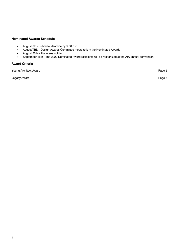#### **Nominated Awards Schedule**

- August 5th Submittal deadline by 5:00 p.m.
- August TBD Design Awards Committee meets to jury the Nominated Awards
- August 26th Honorees notified
- September 15th The 2022 Nominated Award recipients will be recognized at the AIA annual convention

#### **Award Criteria**

| Young Architect Award | Page 5 |
|-----------------------|--------|
| Legacy Award          | Page 5 |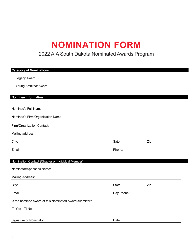## **NOMINATION FORM**

### 2022 AIA South Dakota Nominated Awards Program

| <b>Category of Nominations</b>                          |            |      |  |
|---------------------------------------------------------|------------|------|--|
| □ Legacy Award                                          |            |      |  |
| □ Young Architect Award                                 |            |      |  |
|                                                         |            |      |  |
| Nominee Information                                     |            |      |  |
| Nominee's Full Name:                                    |            |      |  |
| Nominee's Firm/Organization Name:                       |            |      |  |
| Firm/Organization Contact:                              |            |      |  |
| Mailing address:                                        |            |      |  |
| City:                                                   | Sate:      | Zip: |  |
| Email:                                                  | Phone:     |      |  |
| Nomination Contact (Chapter or Individual Member)       |            |      |  |
| Nominator/Sponsor's Name:                               |            |      |  |
| <b>Mailing Address:</b>                                 |            |      |  |
| City:                                                   | State:     | Zip: |  |
| Email:                                                  | Day Phone: |      |  |
| Is the nominee aware of this Nominated Award submittal? |            |      |  |
| $\Box$ Yes $\Box$ No                                    |            |      |  |
| Signature of Nominator:                                 | Date:      |      |  |